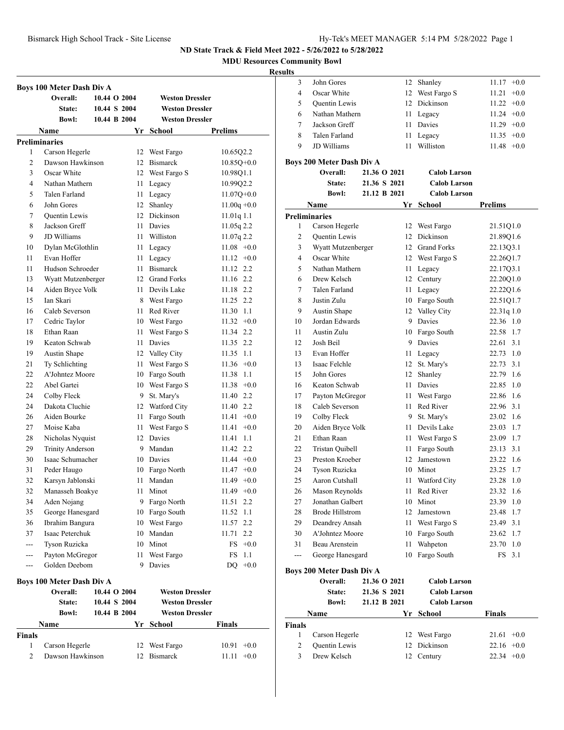**MDU Resources Community Bowl**

## **Result**

|     | <b>Boys 100 Meter Dash Div A</b> |              |      |                        |                 |
|-----|----------------------------------|--------------|------|------------------------|-----------------|
|     | Overall:                         | 10.44 O 2004 |      | <b>Weston Dressler</b> |                 |
|     | State:                           | 10.44 S 2004 |      | <b>Weston Dressler</b> |                 |
|     | <b>Bowl:</b>                     | 10.44 B 2004 |      | <b>Weston Dressler</b> |                 |
|     | Name                             |              |      | Yr School              | Prelims         |
|     | <b>Preliminaries</b>             |              |      |                        |                 |
| 1   | Carson Hegerle                   |              |      | 12 West Fargo          | 10.65Q2.2       |
| 2   | Dawson Hawkinson                 |              |      | 12 Bismarck            | $10.85Q+0.0$    |
| 3   | Oscar White                      |              |      | 12 West Fargo S        | 10.98Q1.1       |
| 4   | Nathan Mathern                   |              |      | 11 Legacy              | 10.99Q2.2       |
| 5   | Talen Farland                    |              |      | 11 Legacy              | $11.07Q + 0.0$  |
| 6   | John Gores                       |              |      | 12 Shanley             | $11.00q + 0.0$  |
| 7   | <b>Quentin Lewis</b>             |              |      | 12 Dickinson           | 11.01q 1.1      |
| 8   | Jackson Greff                    |              |      | 11 Davies              | 11.05q 2.2      |
| 9   | JD Williams                      |              | 11 - | Williston              | 11.07q 2.2      |
| 10  | Dylan McGlothlin                 |              |      | 11 Legacy              | $11.08 + 0.0$   |
| 11  | Evan Hoffer                      |              |      | 11 Legacy              | $11.12 +0.0$    |
| 11  | Hudson Schroeder                 |              | 11 - | <b>Bismarck</b>        | 11.12 2.2       |
| 13  | Wyatt Mutzenberger               |              |      | 12 Grand Forks         | 11.16 2.2       |
| 14  | Aiden Bryce Volk                 |              |      | 11 Devils Lake         | 11.18 2.2       |
| 15  | Ian Skari                        |              |      | 8 West Fargo           | 11.25 2.2       |
| 16  | Caleb Severson                   |              | 11   | Red River              | 11.30 1.1       |
| 17  | Cedric Taylor                    |              |      | 10 West Fargo          | $11.32 +0.0$    |
| 18  | Ethan Raan                       |              |      | 11 West Fargo S        | 11.34 2.2       |
| 19  | Keaton Schwab                    |              | 11   | Davies                 | 11.35 2.2       |
| 19  | Austin Shape                     |              |      | 12 Valley City         | 11.35 1.1       |
| 21  | Ty Schlichting                   |              |      | 11 West Fargo S        | $11.36 +0.0$    |
| 22  | A'Johntez Moore                  |              |      | 10 Fargo South         | 11.38<br>1.1    |
| 22  | Abel Gartei                      |              |      | 10 West Fargo S        | $11.38 + 0.0$   |
| 24  | Colby Fleck                      |              |      | 9 St. Mary's           | 11.40 2.2       |
| 24  | Dakota Cluchie                   |              |      | 12 Watford City        | 11.40 2.2       |
| 26  | Aiden Bourke                     |              | 11 - | Fargo South            | 11.41<br>$+0.0$ |
| 27  | Moise Kaba                       |              | 11   | West Fargo S           | $+0.0$<br>11.41 |
| 28  | Nicholas Nyquist                 |              |      | 12 Davies              | 11.41<br>1.1    |
| 29  | <b>Trinity Anderson</b>          |              |      | 9 Mandan               | 11.42 2.2       |
| 30  | Isaac Schumacher                 |              |      | 10 Davies              | $11.44 + 0.0$   |
| 31  | Peder Haugo                      |              |      | 10 Fargo North         | $11.47 +0.0$    |
| 32  | Karsyn Jablonski                 |              |      | 11 Mandan              | $11.49 + 0.0$   |
| 32  | Manasseh Boakye                  |              |      | 11 Minot               | $11.49 +0.0$    |
| 34  | Aden Nojang                      |              |      | 9 Fargo North          | 11.51<br>2.2    |
| 35  | George Hanesgard                 |              | 10   | Fargo South            | 11.52<br>1.1    |
| 36  | Ibrahim Bangura                  |              | 10   | West Fargo             | 2.2<br>11.57    |
| 37  | Isaac Peterchuk                  |              | 10   | Mandan                 | 11.71<br>2.2    |
| --- | Tyson Ruzicka                    |              | 10   | Minot                  | $+0.0$<br>FS    |
| --- | Payton McGregor                  |              | 11   | West Fargo             | FS<br>1.1       |
| --- | Golden Deebom                    |              | 9    | Davies                 | DQ<br>$+0.0$    |
|     | <b>Boys 100 Meter Dash Div A</b> |              |      |                        |                 |

|        | 20,0,10,0,0,11   |              |                        |                        |                 |
|--------|------------------|--------------|------------------------|------------------------|-----------------|
|        | Overall:         |              | 10.44 O 2004           | <b>Weston Dressler</b> |                 |
| State: |                  | 10.44 S 2004 | <b>Weston Dressler</b> |                        |                 |
|        | <b>Bowl:</b>     |              | 10.44 B 2004           | <b>Weston Dressler</b> |                 |
|        | <b>Name</b>      |              |                        | Yr School              | <b>Finals</b>   |
| Finals |                  |              |                        |                        |                 |
|        | Carson Hegerle   |              |                        | 12 West Fargo          | $+0.0$<br>10.91 |
|        | Dawson Hawkinson |              |                        | <b>Bismarck</b>        | $+0.0$<br>11.11 |
|        |                  |              |                        |                        |                 |

| ts |                      |    |                 |               |  |
|----|----------------------|----|-----------------|---------------|--|
|    | John Gores           |    | 12 Shanley      | $11.17 +0.0$  |  |
| 4  | Oscar White          |    | 12 West Fargo S | $11.21 +0.0$  |  |
| 5  | <b>Quentin Lewis</b> |    | 12 Dickinson    | $11.22 +0.0$  |  |
| 6  | Nathan Mathern       |    | 11 Legacy       | $11.24 +0.0$  |  |
|    | Jackson Greff        |    | 11 Davies       | $11.29 +0.0$  |  |
| 8  | Talen Farland        |    | 11 Legacy       | $11.35 + 0.0$ |  |
| 9  | <b>JD</b> Williams   | 11 | Williston       | $11.48 + 0.0$ |  |
|    |                      |    |                 |               |  |

#### **Boys 200 Meter Dash Div A**

|                | Overall:                         | 21.36 O 2021         | <b>Calob Larson</b>  |                  |
|----------------|----------------------------------|----------------------|----------------------|------------------|
|                | State:                           | 21.36 S 2021         | <b>Calob Larson</b>  |                  |
|                | <b>Bowl:</b>                     | 21.12 B 2021         | <b>Calob Larson</b>  |                  |
|                | Name                             | Yr                   | School               | <b>Prelims</b>   |
|                | <b>Preliminaries</b>             |                      |                      |                  |
| 1              | Carson Hegerle                   |                      | 12 West Fargo        | 21.51Q1.0        |
| $\overline{c}$ | Quentin Lewis                    | 12                   | Dickinson            | 21.89Q1.6        |
| 3              | Wyatt Mutzenberger               |                      | 12 Grand Forks       | 22.1303.1        |
| 4              | Oscar White                      |                      | 12 West Fargo S      | 22.26Q1.7        |
| 5              | Nathan Mathern                   | 11                   | Legacy               | 22.17Q3.1        |
| 6              | Drew Kelsch                      |                      | 12 Century           | 22.20Q1.0        |
| 7              | Talen Farland                    | 11                   | Legacy               | 22.22Q1.6        |
| 8              | Justin Zulu                      |                      | 10 Fargo South       | 22.51Q1.7        |
| 9              | Austin Shape                     |                      | 12 Valley City       | 22.31q 1.0       |
| 10             | Jordan Edwards                   |                      | 9 Davies             | 22.36 1.0        |
| 11             | Austin Zulu                      |                      | 10 Fargo South       | 22.58<br>1.7     |
| 12             | Josh Beil                        |                      | 9 Davies             | 22.61<br>3.1     |
| 13             | Evan Hoffer                      |                      | 11 Legacy            | 1.0<br>22.73     |
| 13             | Isaac Felchle                    |                      | 12 St. Mary's        | 22.73<br>3.1     |
| 15             | John Gores                       | 12                   | Shanley              | 1.6<br>22.79     |
| 16             | Keaton Schwab                    | 11                   | Davies               | 1.0<br>22.85     |
| 17             | Payton McGregor                  | 11                   | West Fargo           | 1.6<br>22.86     |
| 18             | Caleb Severson                   | 11                   | Red River            | 3.1<br>22.96     |
| 19             | Colby Fleck                      |                      | 9 St. Mary's         | 1.6<br>23.02     |
| 20             | Aiden Bryce Volk                 |                      | 11 Devils Lake       | 1.7<br>23.03     |
| 21             | Ethan Raan                       | 11                   | West Fargo S         | 23.09<br>1.7     |
| 22             | <b>Tristan Ouibell</b>           | 11                   | Fargo South          | 23.13<br>3.1     |
| 23             | Preston Kroeber                  | 12                   | Jamestown            | 23.22<br>1.6     |
| 24             | Tyson Ruzicka                    |                      | 10 Minot             | 23.25<br>1.7     |
| 25             | Aaron Cutshall                   | 11                   | Watford City         | 23.28<br>1.0     |
| 26             | Mason Reynolds                   | 11                   | Red River            | 23.32<br>1.6     |
| 27             | Jonathan Galbert                 | 10                   | Minot                | 23.39<br>1.0     |
| 28             | <b>Brode Hillstrom</b>           | 12                   | Jamestown            | 1.7<br>23.48     |
| 29             | Deandrey Ansah                   | 11                   | West Fargo S         | 23.49<br>3.1     |
| 30             | A'Johntez Moore                  | 10                   | Fargo South          | 1.7<br>23.62     |
| 31             | Beau Arenstein                   | 11                   | Wahpeton             | 23.70<br>1.0     |
| ---            | George Hanesgard                 | 10                   | Fargo South          | <b>FS</b><br>3.1 |
|                | <b>Boys 200 Meter Dash Div A</b> |                      |                      |                  |
|                | Overall:                         | 21.36 O 2021         | <b>Calob Larson</b>  |                  |
|                | State:                           | 21.36 S 2021         | <b>Calob Larson</b>  |                  |
|                | T.<br>$\mathbf{r}$               | $21.12 \times 2.021$ | $\sim$ $\sim$ $\sim$ |                  |

|               | <b>Bowl:</b>         | 21.12 B 2021 | <b>Calob Larson</b> |                 |
|---------------|----------------------|--------------|---------------------|-----------------|
|               | <b>Name</b>          |              | Yr School           | <b>Finals</b>   |
| <b>Finals</b> |                      |              |                     |                 |
|               | Carson Hegerle       |              | 12 West Fargo       | $21.61 + 0.0$   |
|               | <b>Quentin Lewis</b> |              | 12 Dickinson        | $22.16 + 0.0$   |
|               | Drew Kelsch          |              | Century             | $+0.0$<br>22.34 |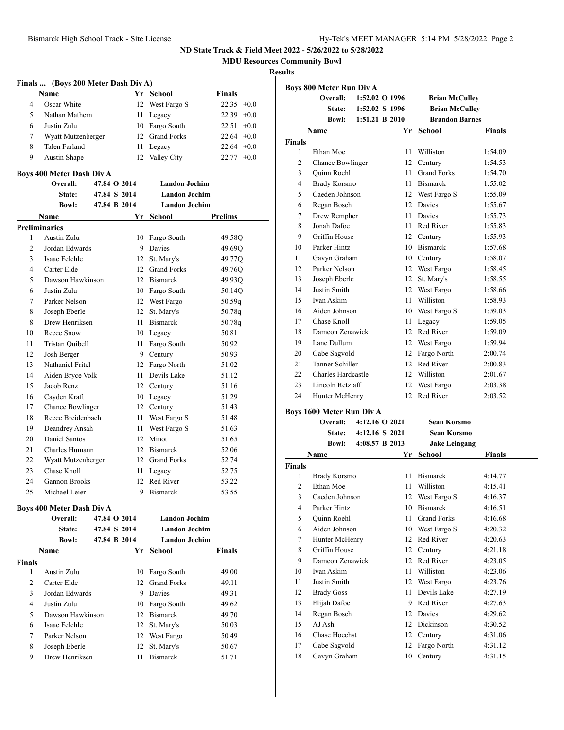**MDU Resources Community Bowl**

## **Results**

|                           | Finals  (Boys 200 Meter Dash Div A) |              |          |                          |                |  |  |  |  |
|---------------------------|-------------------------------------|--------------|----------|--------------------------|----------------|--|--|--|--|
|                           | Name                                |              |          | Yr School                | Finals         |  |  |  |  |
| 4                         | Oscar White                         |              |          | 12 West Fargo S          | $22.35 +0.0$   |  |  |  |  |
| 5                         | Nathan Mathern                      |              | 11       | Legacy                   | $22.39 +0.0$   |  |  |  |  |
| 6                         | Justin Zulu                         |              |          | 10 Fargo South           | $22.51 + 0.0$  |  |  |  |  |
| 7                         | Wyatt Mutzenberger                  |              |          | 12 Grand Forks           | $22.64 +0.0$   |  |  |  |  |
| 8                         | Talen Farland                       |              |          | 11 Legacy                | $22.64 +0.0$   |  |  |  |  |
| 9                         | Austin Shape                        |              |          | 12 Valley City           | $22.77 +0.0$   |  |  |  |  |
| Boys 400 Meter Dash Div A |                                     |              |          |                          |                |  |  |  |  |
|                           | Overall:                            | 47.84 O 2014 |          | <b>Landon Jochim</b>     |                |  |  |  |  |
|                           | State:                              | 47.84 S 2014 |          | <b>Landon Jochim</b>     |                |  |  |  |  |
|                           | <b>Bowl:</b>                        | 47.84 B 2014 |          | <b>Landon Jochim</b>     |                |  |  |  |  |
|                           | Name                                |              |          | Yr School                | Prelims        |  |  |  |  |
|                           | <b>Preliminaries</b>                |              |          |                          |                |  |  |  |  |
| 1                         | Austin Zulu                         |              |          | 10 Fargo South           | 49.58Q         |  |  |  |  |
| $\overline{c}$            | Jordan Edwards                      |              |          | 9 Davies                 | 49.69Q         |  |  |  |  |
| 3                         | Isaac Felchle                       |              |          | 12 St. Mary's            | 49.77Q         |  |  |  |  |
| 4                         | Carter Elde                         |              |          | 12 Grand Forks           | 49.76Q         |  |  |  |  |
| 5                         | Dawson Hawkinson                    |              |          | 12 Bismarck              | 49.93Q         |  |  |  |  |
| 6                         | Justin Zulu                         |              |          | 10 Fargo South           | 50.14Q         |  |  |  |  |
| 7                         | Parker Nelson                       |              |          | 12 West Fargo            | 50.59q         |  |  |  |  |
| 8                         | Joseph Eberle                       |              |          | 12 St. Mary's            | 50.78q         |  |  |  |  |
| 8                         | Drew Henriksen                      |              |          | 11 Bismarck              | 50.78q         |  |  |  |  |
| 10                        | Reece Snow                          |              |          | 10 Legacy                | 50.81          |  |  |  |  |
| 11                        | Tristan Quibell                     |              | 11 -     | Fargo South              | 50.92          |  |  |  |  |
| 12                        | Josh Berger                         |              |          | 9 Century                | 50.93          |  |  |  |  |
| 13                        | Nathaniel Fritel                    |              |          | 12 Fargo North           | 51.02          |  |  |  |  |
| 14                        | Aiden Bryce Volk                    |              |          | 11 Devils Lake           | 51.12          |  |  |  |  |
| 15                        | Jacob Renz                          |              |          | 12 Century               | 51.16          |  |  |  |  |
| 16                        | Cayden Kraft                        |              |          | 10 Legacy                | 51.29          |  |  |  |  |
| 17                        | Chance Bowlinger                    |              |          | 12 Century               | 51.43          |  |  |  |  |
| 18                        | Reece Breidenbach                   |              | 11 -     | West Fargo S             | 51.48          |  |  |  |  |
| 19                        | Deandrey Ansah                      |              | 11       | West Fargo S             | 51.63          |  |  |  |  |
| 20                        | Daniel Santos                       |              |          | 12 Minot                 | 51.65          |  |  |  |  |
| 21                        | Charles Humann                      |              |          | 12 Bismarck              | 52.06          |  |  |  |  |
| 22                        | Wyatt Mutzenberger                  |              |          | 12 Grand Forks           | 52.74          |  |  |  |  |
| 23                        | Chase Knoll                         |              | 11       | Legacy                   | 52.75          |  |  |  |  |
| 24                        | <b>Gannon Brooks</b>                |              |          | 12 Red River             | 53.22          |  |  |  |  |
| 25                        | Michael Leier                       |              | 9        | <b>Bismarck</b>          | 53.55          |  |  |  |  |
|                           | <b>Boys 400 Meter Dash Div A</b>    |              |          |                          |                |  |  |  |  |
|                           | Overall:                            | 47.84 O 2014 |          | <b>Landon Jochim</b>     |                |  |  |  |  |
|                           | State:                              | 47.84 S 2014 |          | <b>Landon Jochim</b>     |                |  |  |  |  |
|                           | <b>Bowl:</b>                        | 47.84 B 2014 |          | Landon Jochim            |                |  |  |  |  |
|                           | Name                                |              | Yr       | <b>School</b>            | <b>Finals</b>  |  |  |  |  |
| <b>Finals</b>             |                                     |              |          |                          |                |  |  |  |  |
| 1                         | Austin Zulu                         |              |          | 10 Fargo South           | 49.00          |  |  |  |  |
| $\overline{2}$            | Carter Elde                         |              | 12       | <b>Grand Forks</b>       | 49.11          |  |  |  |  |
| 3                         | Jordan Edwards                      |              |          | 9 Davies                 | 49.31          |  |  |  |  |
| $\overline{4}$            | Justin Zulu                         |              | 10       | Fargo South              | 49.62          |  |  |  |  |
| 5<br>6                    | Dawson Hawkinson<br>Isaac Felchle   |              | 12       | <b>Bismarck</b>          | 49.70          |  |  |  |  |
| 7                         | Parker Nelson                       |              | 12       | St. Mary's               | 50.03          |  |  |  |  |
| 8                         | Joseph Eberle                       |              | 12<br>12 | West Fargo<br>St. Mary's | 50.49<br>50.67 |  |  |  |  |
| 9                         | Drew Henriksen                      |              | 11       | <b>Bismarck</b>          | 51.71          |  |  |  |  |
|                           |                                     |              |          |                          |                |  |  |  |  |

| <b>Boys 800 Meter Run Div A</b> |                           |  |                |                       |               |  |  |
|---------------------------------|---------------------------|--|----------------|-----------------------|---------------|--|--|
|                                 | Overall:                  |  | 1:52.02 O 1996 | <b>Brian McCulley</b> |               |  |  |
|                                 | State:                    |  | 1:52.02 S 1996 | <b>Brian McCulley</b> |               |  |  |
|                                 | <b>Bowl:</b>              |  | 1:51.21 B 2010 | <b>Brandon Barnes</b> |               |  |  |
|                                 | Name                      |  | Yr             | <b>School</b>         | <b>Finals</b> |  |  |
| <b>Finals</b>                   |                           |  |                |                       |               |  |  |
| 1                               | Ethan Moe                 |  | 11             | Williston             | 1:54.09       |  |  |
| $\overline{c}$                  | <b>Chance Bowlinger</b>   |  | 12             | Century               | 1:54.53       |  |  |
| 3                               | <b>Ouinn Roehl</b>        |  | 11             | <b>Grand Forks</b>    | 1:54.70       |  |  |
| $\overline{4}$                  | <b>Brady Korsmo</b>       |  | 11             | <b>Bismarck</b>       | 1:55.02       |  |  |
| 5                               | Caeden Johnson            |  | 12             | West Fargo S          | 1:55.09       |  |  |
| 6                               | Regan Bosch               |  | 12             | Davies                | 1:55.67       |  |  |
| 7                               | Drew Rempher              |  | 11             | Davies                | 1:55.73       |  |  |
| 8                               | Jonah Dafoe               |  | 11             | Red River             | 1:55.83       |  |  |
| 9                               | Griffin House             |  | 12             | Century               | 1:55.93       |  |  |
| 10                              | Parker Hintz              |  | 10             | <b>Bismarck</b>       | 1:57.68       |  |  |
| 11                              | Gavyn Graham              |  | 10             | Century               | 1:58.07       |  |  |
| 12                              | Parker Nelson             |  | 12             | West Fargo            | 1:58.45       |  |  |
| 13                              | Joseph Eberle             |  | 12             | St. Mary's            | 1:58.55       |  |  |
| 14                              | Justin Smith              |  | 12             | West Fargo            | 1:58.66       |  |  |
| 15                              | Ivan Askim                |  | 11             | Williston             | 1:58.93       |  |  |
| 16                              | Aiden Johnson             |  |                | 10 West Fargo S       | 1:59.03       |  |  |
| 17                              | Chase Knoll               |  | 11             | Legacy                | 1:59.05       |  |  |
| 18                              | Dameon Zenawick           |  | 12             | Red River             | 1:59.09       |  |  |
| 19                              | Lane Dullum               |  |                | 12 West Fargo         | 1:59.94       |  |  |
| 20                              | Gabe Sagvold              |  | 12             | Fargo North           | 2:00.74       |  |  |
| 21                              | Tanner Schiller           |  | 12             | Red River             | 2:00.83       |  |  |
| 22                              | Charles Hardcastle        |  | 12             | Williston             | 2:01.67       |  |  |
| 23                              | Lincoln Retzlaff          |  | 12             | West Fargo            | 2:03.38       |  |  |
| 24                              | Hunter McHenry            |  | 12             | Red River             | 2:03.52       |  |  |
|                                 | Roys 1600 Meter Run Div A |  |                |                       |               |  |  |

## **Boys 1600 Meter Run Div A**

**Overall: 4:12.16 O 2021 Sean Korsmo State: 4:12.16 S 2021 Sean Korsmo Bowl: 4:08.57 B 2013 Jake Leingang Name Yr School Finals Finals** Brady Korsmo 11 Bismarck 4:14.77 2 Ethan Moe 11 Williston 4:15.41 3 Caeden Johnson 12 West Fargo S 4:16.37

| 4  | Parker Hintz      | 10  | <b>Bismarck</b>    | 4:16.51 |
|----|-------------------|-----|--------------------|---------|
| 5  | Quinn Roehl       | 11. | <b>Grand Forks</b> | 4:16.68 |
| 6  | Aiden Johnson     |     | 10 West Fargo S    | 4:20.32 |
| 7  | Hunter McHenry    |     | 12 Red River       | 4:20.63 |
| 8  | Griffin House     |     | 12 Century         | 4:21.18 |
| 9  | Dameon Zenawick   |     | 12 Red River       | 4:23.05 |
| 10 | Ivan Askim        | 11  | Williston          | 4:23.06 |
| 11 | Justin Smith      |     | 12 West Fargo      | 4:23.76 |
| 12 | <b>Brady Goss</b> | 11. | Devils Lake        | 4:27.19 |
| 13 | Elijah Dafoe      | 9   | Red River          | 4:27.63 |
| 14 | Regan Bosch       |     | 12 Davies          | 4:29.62 |
| 15 | AJ Ash            |     | 12 Dickinson       | 4:30.52 |
| 16 | Chase Hoechst     |     | 12 Century         | 4:31.06 |
| 17 | Gabe Sagvold      |     | 12 Fargo North     | 4:31.12 |
| 18 | Gavyn Graham      | 10- | Century            | 4:31.15 |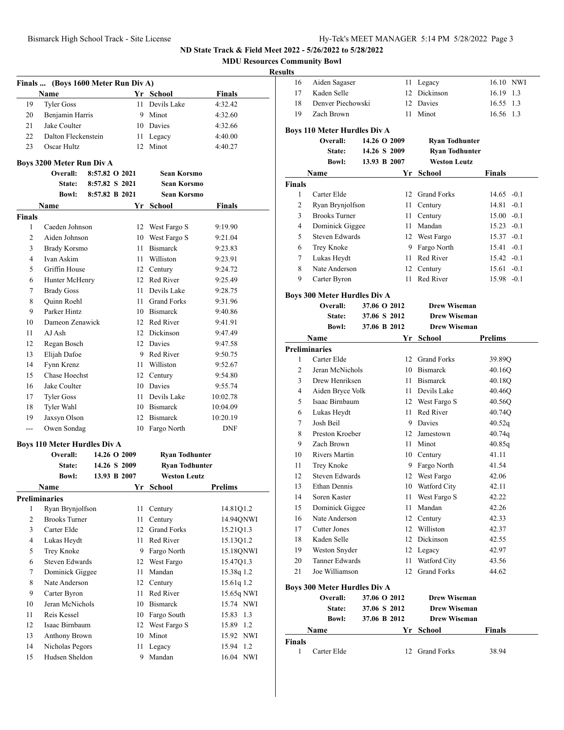| Hy-Tek's MEET MANAGER 5:14 PM 5/28/2022 Page 3 |  |  |  |
|------------------------------------------------|--|--|--|
|------------------------------------------------|--|--|--|

**MDU Resources Community Bowl**

## **Results**

|                | Finals  (Boys 1600 Meter Run Div A)             |                |                |                       |                |
|----------------|-------------------------------------------------|----------------|----------------|-----------------------|----------------|
|                | Name                                            |                |                | Yr School             | <b>Finals</b>  |
| 19             | <b>Tyler Goss</b>                               |                |                | 11 Devils Lake        | 4:32.42        |
| 20             | Benjamin Harris                                 |                |                | 9 Minot               | 4:32.60        |
| 21             | Jake Coulter                                    |                |                | 10 Davies             | 4:32.66        |
| 22             | Dalton Fleckenstein                             |                | 11 -           | Legacy                | 4:40.00        |
| 23.            | Oscar Hultz                                     |                |                | 12 Minot              | 4:40.27        |
|                | Boys 3200 Meter Run Div A                       |                |                |                       |                |
|                | Overall:                                        | 8:57.82 O 2021 |                | <b>Sean Korsmo</b>    |                |
|                | State:                                          | 8:57.82 S 2021 |                | Sean Korsmo           |                |
|                | <b>Bowl:</b>                                    |                | 8:57.82 B 2021 | <b>Sean Korsmo</b>    |                |
|                | Name                                            |                |                | Yr School             | Finals         |
| <b>Finals</b>  |                                                 |                |                |                       |                |
| 1              | Caeden Johnson                                  |                |                | 12 West Fargo S       | 9:19.90        |
| 2              | Aiden Johnson                                   |                |                | 10 West Fargo S       | 9:21.04        |
| 3              | Brady Korsmo                                    |                |                | 11 Bismarck           | 9:23.83        |
| $\overline{4}$ | Ivan Askim                                      |                |                | 11 Williston          | 9:23.91        |
| 5              | Griffin House                                   |                |                | 12 Century            | 9:24.72        |
| 6              | Hunter McHenry                                  |                |                | 12 Red River          | 9:25.49        |
| 7              | <b>Brady Goss</b>                               |                | 11             | Devils Lake           | 9:28.75        |
| 8              | <b>Ouinn Roehl</b>                              |                | 11             | <b>Grand Forks</b>    | 9:31.96        |
| 9              | Parker Hintz                                    |                |                | 10 Bismarck           | 9:40.86        |
| 10             | Dameon Zenawick                                 |                |                | 12 Red River          | 9:41.91        |
| 11             | $A$ J $A$ sh                                    |                |                | 12 Dickinson          | 9:47.49        |
| 12             | Regan Bosch                                     |                |                | 12 Davies             | 9:47.58        |
| 13             | Elijah Dafoe                                    |                |                | 9 Red River           | 9:50.75        |
| 14             | Fynn Krenz                                      |                |                | 11 Williston          | 9:52.67        |
| 15             | Chase Hoechst                                   |                |                | 12 Century            | 9:54.80        |
| 16             | Jake Coulter                                    |                |                | 10 Davies             | 9:55.74        |
| 17             | <b>Tyler Goss</b>                               |                | 11             | Devils Lake           | 10:02.78       |
| 18             | Tyler Wahl                                      |                |                | 10 Bismarck           | 10:04.09       |
| 19             | Jaxsyn Olson                                    |                |                | 12 Bismarck           | 10:20.19       |
| ---            | Owen Sondag                                     |                | 10             | Fargo North           | <b>DNF</b>     |
|                |                                                 |                |                |                       |                |
|                | <b>Boys 110 Meter Hurdles Div A</b><br>Overall: |                | 14.26 O 2009   | <b>Ryan Todhunter</b> |                |
|                | State:                                          |                | 14.26 S 2009   | <b>Ryan Todhunter</b> |                |
|                | <b>Bowl:</b>                                    |                | 13.93 B 2007   | <b>Weston Leutz</b>   |                |
|                | <b>Name</b>                                     |                | <b>Yr</b>      | School                | <b>Prelims</b> |
|                | <b>Preliminaries</b>                            |                |                |                       |                |
| 1              | Ryan Brynjolfson                                |                | 11             | Century               | 14.81Q1.2      |
| 2              | <b>Brooks Turner</b>                            |                | 11             | Century               | 14.94QNWI      |
| 3              | Carter Elde                                     |                |                | 12 Grand Forks        | 15.21Q1.3      |
| 4              | Lukas Heydt                                     |                | 11             | Red River             | 15.13Q1.2      |
| 5              | Trey Knoke                                      |                | 9              | Fargo North           | 15.18QNWI      |
| 6              | <b>Steven Edwards</b>                           |                | 12             | West Fargo            | 15.47Q1.3      |
| 7              | Dominick Giggee                                 |                | 11             | Mandan                | 15.38q 1.2     |
| 8              | Nate Anderson                                   |                | 12             | Century               | 15.61q 1.2     |
| 9              | Carter Byron                                    |                | 11             | Red River             | 15.65q NWI     |
| 10             | Jeran McNichols                                 |                | 10             | <b>Bismarck</b>       | 15.74 NWI      |
| 11             | Reis Kessel                                     |                |                | 10 Fargo South        | 1.3<br>15.83   |
| 12             | Isaac Birnbaum                                  |                |                | 12 West Fargo S       | 15.89 1.2      |
| 13             | Anthony Brown                                   |                | 10             | Minot                 | 15.92 NWI      |
| 14             | Nicholas Pegors                                 |                | 11             | Legacy                | 15.94<br>1.2   |
| 15             | Hudsen Sheldon                                  |                | 9              | Mandan                | 16.04 NWI      |

| 1                    | Carter Elde                         | 12           | <b>Grand Forks</b>           | 38.94                         |
|----------------------|-------------------------------------|--------------|------------------------------|-------------------------------|
| Finals               |                                     |              |                              |                               |
|                      | Name                                |              | Yr School                    | <b>Finals</b>                 |
|                      | <b>Bowl:</b>                        | 37.06 B 2012 | <b>Drew Wiseman</b>          |                               |
|                      | State:                              | 37.06 S 2012 | <b>Drew Wiseman</b>          |                               |
|                      | Overall:                            | 37.06 O 2012 | <b>Drew Wiseman</b>          |                               |
|                      | Boys 300 Meter Hurdles Div A        |              |                              |                               |
| 21                   |                                     | 12           |                              | 44.62                         |
|                      | Joe Williamson                      |              | <b>Grand Forks</b>           | 43.56                         |
| 20                   | <b>Tanner Edwards</b>               | 11           | Watford City                 |                               |
| 19                   | Weston Snyder                       |              | 12 Legacy                    | 42.97                         |
| 18                   | Kaden Selle                         |              | 12 Dickinson                 | 42.55                         |
| 17                   | <b>Cutter Jones</b>                 | 12           | Williston                    | 42.37                         |
| 16                   | Nate Anderson                       | 12           | Century                      | 42.33                         |
| 15                   | Dominick Giggee                     | 11           | Mandan                       | 42.26                         |
| 14                   | Soren Kaster                        | 11           | West Fargo S                 | 42.22                         |
| 13                   | Ethan Dennis                        | 10           | Watford City                 | 42.11                         |
| 12                   | Steven Edwards                      | 12           | West Fargo                   | 42.06                         |
| 11                   | Trey Knoke                          |              | 9 Fargo North                | 41.54                         |
| 10                   | <b>Rivers Martin</b>                |              | 10 Century                   | 41.11                         |
| 9                    | Zach Brown                          |              | 11 Minot                     | 40.85q                        |
| 8                    | Preston Kroeber                     | 12           | Jamestown                    | 40.74q                        |
| 7                    | Josh Beil                           |              | 9 Davies                     | 40.52q                        |
| 6                    | Lukas Heydt                         | 11           | Red River                    | 40.74Q                        |
| 5                    | Isaac Birnbaum                      |              | 12 West Fargo S              | 40.56Q                        |
| 4                    | Aiden Bryce Volk                    |              | 11 Devils Lake               | 40.46Q                        |
| 3                    | Drew Henriksen                      |              | 11 Bismarck                  | 40.18Q                        |
| 2                    | Jeran McNichols                     |              | 10 Bismarck                  | 40.16Q                        |
| 1                    | Carter Elde                         |              | 12 Grand Forks               | 39.89Q                        |
| <b>Preliminaries</b> |                                     |              |                              |                               |
|                      | <b>Name</b>                         |              | Yr School                    | <b>Prelims</b>                |
|                      | <b>Bowl:</b>                        | 37.06 B 2012 | <b>Drew Wiseman</b>          |                               |
|                      | State:                              | 37.06 S 2012 | <b>Drew Wiseman</b>          |                               |
|                      | Overall:                            | 37.06 O 2012 | <b>Drew Wiseman</b>          |                               |
|                      | <b>Boys 300 Meter Hurdles Div A</b> |              |                              |                               |
| 9                    | Carter Byron                        | 11           | Red River                    | 15.98 -0.1                    |
| 8                    | Nate Anderson                       |              | 12 Century                   | $15.61 - 0.1$                 |
| 7                    | Lukas Heydt                         |              |                              | $15.42 -0.1$                  |
| 6                    |                                     |              | 11 Red River                 |                               |
| 5                    | Trey Knoke                          | 9            | 12 West Fargo<br>Fargo North | $15.37 -0.1$<br>$15.41 - 0.1$ |
| 4                    | Dominick Giggee<br>Steven Edwards   | 11.          | Mandan                       | $15.23 -0.1$                  |
| 3                    | <b>Brooks Turner</b>                | 11           | Century                      | $15.00 - 0.1$                 |
| 2                    | Ryan Brynjolfson                    | 11           | Century                      | $14.81 - 0.1$                 |
| 1                    | Carter Elde                         |              | 12 Grand Forks               | $14.65 - 0.1$                 |
| Finals               |                                     |              |                              |                               |
|                      | Name                                | Yr           | School                       | Finals                        |
|                      | <b>Bowl:</b>                        | 13.93 B 2007 | <b>Weston Leutz</b>          |                               |
|                      | State:                              | 14.26 S 2009 | <b>Ryan Todhunter</b>        |                               |
|                      | Overall:                            | 14.26 O 2009 | <b>Ryan Todhunter</b>        |                               |
|                      | Boys 110 Meter Hurdles Div A        |              |                              |                               |
|                      |                                     |              |                              |                               |
| 19                   | Zach Brown                          | 11.          | Minot                        | 16.56 1.3                     |
| 18                   | Denver Piechowski                   |              | 12 Davies                    | 16.55 1.3                     |
| 16<br>17             | Aiden Sagaser<br>Kaden Selle        | 11<br>12     | Legacy<br>Dickinson          | 16.10 NWI<br>16.19 1.3        |
|                      |                                     |              |                              |                               |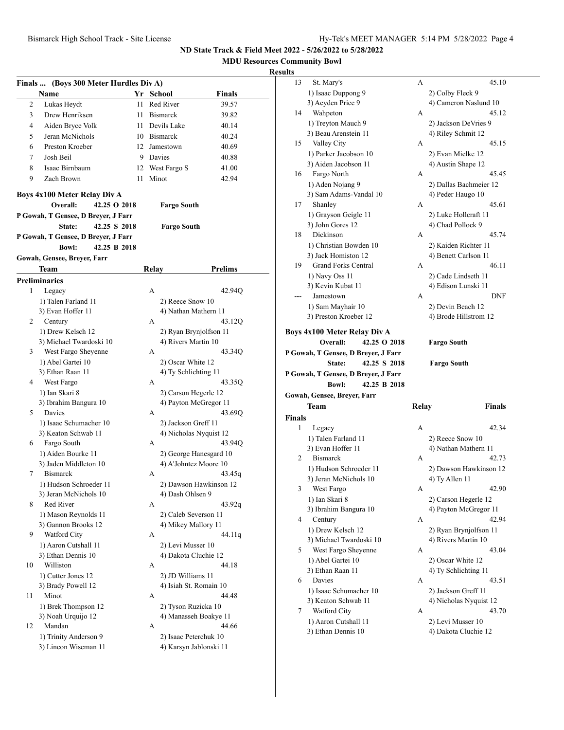**MDU Resources Community Bowl**

## **Result**

| Finals  (Boys 300 Meter Hurdles Div A) |                                     |    |          |                        |                        |  |  |
|----------------------------------------|-------------------------------------|----|----------|------------------------|------------------------|--|--|
|                                        | Name                                |    |          | Yr School              | Finals                 |  |  |
| 2                                      | Lukas Heydt                         | 11 |          | Red River              | 39.57                  |  |  |
| 3                                      | Drew Henriksen                      | 11 |          | Bismarck               | 39.82                  |  |  |
| 4                                      | Aiden Brvce Volk                    |    |          | 11 Devils Lake         | 40.14                  |  |  |
| 5                                      | Jeran McNichols                     |    |          | 10 Bismarck            | 40.24                  |  |  |
| 6                                      | Preston Kroeber                     |    |          | 12 Jamestown           | 40.69                  |  |  |
| 7                                      | Josh Beil                           |    | 9 Davies |                        | 40.88                  |  |  |
| 8                                      | Isaac Birnbaum                      |    |          | 12 West Fargo S        | 41.00                  |  |  |
| 9                                      | Zach Brown                          | 11 | Minot    |                        |                        |  |  |
|                                        |                                     |    |          |                        | 42.94                  |  |  |
|                                        | Boys 4x100 Meter Relay Div A        |    |          |                        |                        |  |  |
|                                        | Overall:<br>42.25 O 2018            |    |          | <b>Fargo South</b>     |                        |  |  |
|                                        | P Gowah, T Gensee, D Breyer, J Farr |    |          |                        |                        |  |  |
|                                        | State:<br>42.25 S 2018              |    |          | <b>Fargo South</b>     |                        |  |  |
|                                        | P Gowah, T Gensee, D Breyer, J Farr |    |          |                        |                        |  |  |
|                                        | <b>Bowl:</b><br>42.25 B 2018        |    |          |                        |                        |  |  |
|                                        | Gowah, Gensee, Breyer, Farr         |    |          |                        |                        |  |  |
|                                        | <b>Team</b>                         |    | Relay    |                        | Prelims                |  |  |
|                                        | <b>Preliminaries</b>                |    |          |                        |                        |  |  |
| 1                                      | Legacy                              |    | A        |                        | 42.94Q                 |  |  |
|                                        | 1) Talen Farland 11                 |    |          | 2) Reece Snow 10       |                        |  |  |
|                                        | 3) Evan Hoffer 11                   |    |          | 4) Nathan Mathern 11   |                        |  |  |
| $\overline{2}$                         | Century                             |    | A        |                        | 43.12Q                 |  |  |
|                                        | 1) Drew Kelsch 12                   |    |          | 2) Ryan Brynjolfson 11 |                        |  |  |
|                                        | 3) Michael Twardoski 10             |    |          | 4) Rivers Martin 10    |                        |  |  |
| 3                                      | West Fargo Sheyenne                 |    | А        |                        | 43.34Q                 |  |  |
|                                        | 1) Abel Gartei 10                   |    |          | 2) Oscar White 12      |                        |  |  |
|                                        | 3) Ethan Raan 11                    |    |          | 4) Ty Schlichting 11   |                        |  |  |
| 4                                      | West Fargo                          |    | A        |                        | 43.35Q                 |  |  |
|                                        | 1) Ian Skari 8                      |    |          | 2) Carson Hegerle 12   |                        |  |  |
|                                        | 3) Ibrahim Bangura 10               |    |          | 4) Payton McGregor 11  |                        |  |  |
| 5                                      | Davies                              |    | А        |                        | 43.69Q                 |  |  |
|                                        | 1) Isaac Schumacher 10              |    |          | 2) Jackson Greff 11    |                        |  |  |
|                                        | 3) Keaton Schwab 11                 |    |          | 4) Nicholas Nyquist 12 |                        |  |  |
| 6                                      | Fargo South                         |    | А        |                        | 43.94O                 |  |  |
|                                        | 1) Aiden Bourke 11                  |    |          |                        | 2) George Hanesgard 10 |  |  |
|                                        | 3) Jaden Middleton 10               |    |          | 4) A'Johntez Moore 10  |                        |  |  |
| 7                                      | <b>Bismarck</b>                     |    | А        |                        | 43.45q                 |  |  |
|                                        | 1) Hudson Schroeder 11              |    |          |                        | 2) Dawson Hawkinson 12 |  |  |
|                                        | 3) Jeran McNichols 10               |    |          | 4) Dash Ohlsen 9       |                        |  |  |
| 8                                      | Red River                           |    | А        |                        | 43.92q                 |  |  |
|                                        | 1) Mason Reynolds 11                |    |          | 2) Caleb Severson 11   |                        |  |  |
|                                        | 3) Gannon Brooks 12                 |    |          | 4) Mikey Mallory 11    |                        |  |  |
| 9                                      | Watford City                        |    | А        |                        | 44.11q                 |  |  |
|                                        | 1) Aaron Cutshall 11                |    |          | 2) Levi Musser 10      |                        |  |  |
|                                        | 3) Ethan Dennis 10                  |    |          | 4) Dakota Cluchie 12   |                        |  |  |
| 10                                     | Williston                           |    | А        |                        | 44.18                  |  |  |
|                                        | 1) Cutter Jones 12                  |    |          | 2) JD Williams 11      |                        |  |  |
|                                        | 3) Brady Powell 12                  |    |          | 4) Isiah St. Romain 10 |                        |  |  |
| 11                                     | Minot                               |    | А        |                        | 44.48                  |  |  |
|                                        | 1) Brek Thompson 12                 |    |          | 2) Tyson Ruzicka 10    |                        |  |  |
|                                        | 3) Noah Urquijo 12                  |    |          | 4) Manasseh Boakye 11  |                        |  |  |
| 12                                     | Mandan                              |    | А        |                        | 44.66                  |  |  |
|                                        | 1) Trinity Anderson 9               |    |          | 2) Isaac Peterchuk 10  |                        |  |  |
|                                        | 3) Lincon Wiseman 11                |    |          | 4) Karsyn Jablonski 11 |                        |  |  |
|                                        |                                     |    |          |                        |                        |  |  |

| ults          |                                     |              |       |                        |            |  |
|---------------|-------------------------------------|--------------|-------|------------------------|------------|--|
| 13            | St. Mary's                          |              | А     |                        | 45.10      |  |
|               | 1) Isaac Duppong 9                  |              |       | 2) Colby Fleck 9       |            |  |
|               | 3) Aeyden Price 9                   |              |       | 4) Cameron Naslund 10  |            |  |
| 14            | Wahpeton                            |              | А     |                        | 45.12      |  |
|               | 1) Treyton Mauch 9                  |              |       | 2) Jackson DeVries 9   |            |  |
|               | 3) Beau Arenstein 11                |              |       | 4) Riley Schmit 12     |            |  |
| 15            | Valley City                         |              | А     |                        | 45.15      |  |
|               | 1) Parker Jacobson 10               |              |       | 2) Evan Mielke 12      |            |  |
|               | 3) Aiden Jacobson 11                |              |       | 4) Austin Shape 12     |            |  |
| 16            | Fargo North                         |              | А     |                        | 45.45      |  |
|               | 1) Aden Nojang 9                    |              |       | 2) Dallas Bachmeier 12 |            |  |
|               | 3) Sam Adams-Vandal 10              |              |       | 4) Peder Haugo 10      |            |  |
| 17            | Shanley                             |              | A     |                        | 45.61      |  |
|               | 1) Grayson Geigle 11                |              |       | 2) Luke Hollcraft 11   |            |  |
|               | 3) John Gores 12                    |              |       | 4) Chad Pollock 9      |            |  |
| 18            | Dickinson                           |              | А     |                        | 45.74      |  |
|               | 1) Christian Bowden 10              |              |       | 2) Kaiden Richter 11   |            |  |
|               | 3) Jack Homiston 12                 |              |       | 4) Benett Carlson 11   |            |  |
| 19            | <b>Grand Forks Central</b>          |              | А     |                        | 46.11      |  |
|               | 1) Navy Oss 11                      |              |       | 2) Cade Lindseth 11    |            |  |
|               | 3) Kevin Kubat 11                   |              |       | 4) Edison Lunski 11    |            |  |
| ---           | Jamestown                           |              | А     |                        | <b>DNF</b> |  |
|               | 1) Sam Mayhair 10                   |              |       | 2) Devin Beach 12      |            |  |
|               | 3) Preston Kroeber 12               |              |       | 4) Brode Hillstrom 12  |            |  |
|               | <b>Boys 4x100 Meter Relay Div A</b> |              |       |                        |            |  |
|               | Overall:                            | 42.25 O 2018 |       | <b>Fargo South</b>     |            |  |
|               | P Gowah, T Gensee, D Breyer, J Farr |              |       |                        |            |  |
|               | State:                              | 42.25 S 2018 |       | <b>Fargo South</b>     |            |  |
|               | P Gowah, T Gensee, D Breyer, J Farr |              |       |                        |            |  |
|               | <b>Bowl:</b>                        | 42.25 B 2018 |       |                        |            |  |
|               | Gowah, Gensee, Breyer, Farr         |              |       |                        |            |  |
|               | Team                                |              | Relay |                        | Finals     |  |
| <b>Finals</b> |                                     |              |       |                        |            |  |
| 1             | Legacy                              |              | А     |                        | 42.34      |  |
|               | 1) Talen Farland 11                 |              |       | 2) Reece Snow 10       |            |  |
|               | 3) Evan Hoffer 11                   |              |       | 4) Nathan Mathern 11   |            |  |
| 2             | <b>Bismarck</b>                     |              | А     |                        | 42.73      |  |

1) Drew Kelsch 12 3) Michael Twardoski 10 5 West Fargo Sheyenne 1) Abel Gartei 10 3) Ethan Raan 11

1) Isaac Schumacher 10 3) Keaton Schwab 11 7 Watford City 1) Aaron Cutshall 11

3 West Fargo 1) Ian Skari 8 3) Ibrahim Bangura  $10$ 

4 Century

6 Davies

| 1) Talen Farland 11     |   | 2) Reece Snow 10       |
|-------------------------|---|------------------------|
| 3) Evan Hoffer 11       |   | 4) Nathan Mathern 11   |
| <b>Bismarck</b>         | A | 42.73                  |
| 1) Hudson Schroeder 11  |   | 2) Dawson Hawkinson 12 |
| 3) Jeran McNichols 10   |   | 4) Ty Allen 11         |
| West Fargo              | A | 42.90                  |
| 1) Ian Skari 8          |   | 2) Carson Hegerle 12   |
| 3) Ibrahim Bangura 10   |   | 4) Payton McGregor 11  |
| Century                 | A | 42.94                  |
| 1) Drew Kelsch 12       |   | 2) Ryan Brynjolfson 11 |
| 3) Michael Twardoski 10 |   | 4) Rivers Martin 10    |
| West Fargo Sheyenne     | A | 43.04                  |
| 1) Abel Gartei 10       |   | 2) Oscar White 12      |
| 3) Ethan Raan 11        |   | 4) Ty Schlichting 11   |
| Davies                  | A | 43.51                  |
| 1) Isaac Schumacher 10  |   | 2) Jackson Greff 11    |
| 3) Keaton Schwab 11     |   | 4) Nicholas Nyquist 12 |
| Watford City            | A | 43.70                  |
| 1) Aaron Cutshall 11    |   | 2) Levi Musser 10      |
| 3) Ethan Dennis 10      |   | 4) Dakota Cluchie 12   |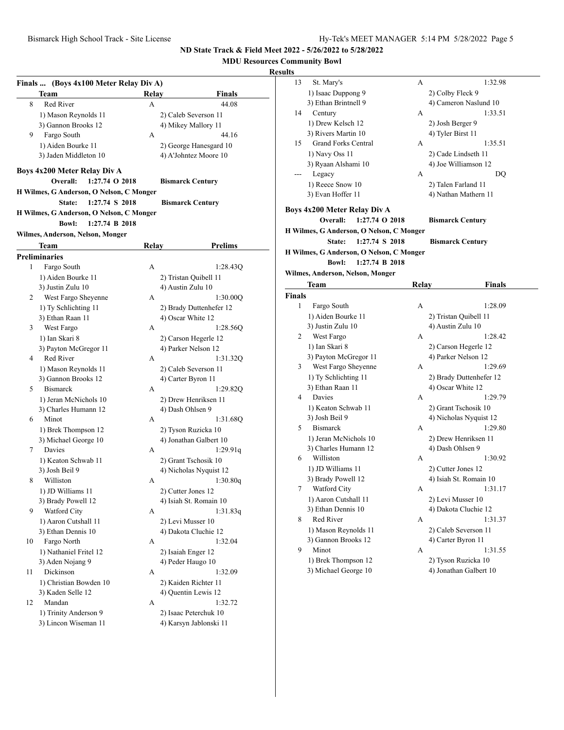## **MDU Resources Community Bowl**

# **Results**

|    | Finals  (Boys 4x100 Meter Relay Div A)   |       |                         |
|----|------------------------------------------|-------|-------------------------|
|    | Team                                     | Relay | Finals                  |
| 8  | Red River                                | А     | 44.08                   |
|    | 1) Mason Reynolds 11                     |       | 2) Caleb Severson 11    |
|    | 3) Gannon Brooks 12                      |       | 4) Mikey Mallory 11     |
| 9  | Fargo South                              | A     | 44.16                   |
|    | 1) Aiden Bourke 11                       |       | 2) George Hanesgard 10  |
|    | 3) Jaden Middleton 10                    |       | 4) A'Johntez Moore 10   |
|    |                                          |       |                         |
|    | Boys 4x200 Meter Relay Div A<br>Overall: |       |                         |
|    | 1:27.74 O 2018                           |       | <b>Bismarck Century</b> |
|    | H Wilmes, G Anderson, O Nelson, C Monger |       |                         |
|    | State:<br>1:27.74 S 2018                 |       | <b>Bismarck Century</b> |
|    | H Wilmes, G Anderson, O Nelson, C Monger |       |                         |
|    | 1:27.74 B 2018<br><b>Bowl:</b>           |       |                         |
|    | Wilmes, Anderson, Nelson, Monger         |       |                         |
|    | Team                                     | Relay | <b>Prelims</b>          |
|    | <b>Preliminaries</b>                     |       |                         |
| 1  | Fargo South                              | А     | 1:28.43Q                |
|    | 1) Aiden Bourke 11                       |       | 2) Tristan Quibell 11   |
|    | 3) Justin Zulu 10                        |       | 4) Austin Zulu 10       |
| 2  | West Fargo Sheyenne                      | А     | 1:30.00Q                |
|    | 1) Ty Schlichting 11                     |       | 2) Brady Duttenhefer 12 |
|    | 3) Ethan Raan 11                         |       | 4) Oscar White 12       |
| 3  | West Fargo                               | А     | 1:28.56Q                |
|    | 1) Ian Skari 8                           |       | 2) Carson Hegerle 12    |
|    | 3) Payton McGregor 11                    |       | 4) Parker Nelson 12     |
| 4  | Red River                                | А     | 1:31.320                |
|    | 1) Mason Reynolds 11                     |       | 2) Caleb Severson 11    |
|    | 3) Gannon Brooks 12                      |       | 4) Carter Byron 11      |
| 5  | <b>Bismarck</b>                          | А     | 1:29.82Q                |
|    | 1) Jeran McNichols 10                    |       | 2) Drew Henriksen 11    |
|    | 3) Charles Humann 12                     |       | 4) Dash Ohlsen 9        |
| 6  | Minot                                    | А     | 1:31.68Q                |
|    | 1) Brek Thompson 12                      |       | 2) Tyson Ruzicka 10     |
|    | 3) Michael George 10                     |       | 4) Jonathan Galbert 10  |
| 7  | Davies                                   | А     | 1:29.91q                |
|    | 1) Keaton Schwab 11                      |       | 2) Grant Tschosik 10    |
|    | 3) Josh Beil 9                           |       | 4) Nicholas Nyquist 12  |
| 8  | Williston                                | А     | 1:30.80q                |
|    | 1) JD Williams 11                        |       | 2) Cutter Jones 12      |
|    | 3) Brady Powell 12                       |       | 4) Isiah St. Romain 10  |
| 9  | Watford City                             | А     | 1:31.83q                |
|    | 1) Aaron Cutshall 11                     |       | 2) Levi Musser 10       |
|    | 3) Ethan Dennis 10                       |       | 4) Dakota Cluchie 12    |
| 10 | Fargo North                              | А     | 1:32.04                 |
|    | 1) Nathaniel Fritel 12                   |       |                         |
|    |                                          |       | 2) Isaiah Enger 12      |
|    | 3) Aden Nojang 9<br>Dickinson            |       | 4) Peder Haugo 10       |
| 11 |                                          | А     | 1:32.09                 |
|    | 1) Christian Bowden 10                   |       | 2) Kaiden Richter 11    |
|    | 3) Kaden Selle 12                        |       | 4) Quentin Lewis 12     |
| 12 | Mandan                                   | А     | 1:32.72                 |
|    | 1) Trinity Anderson 9                    |       | 2) Isaac Peterchuk 10   |
|    | 3) Lincon Wiseman 11                     |       | 4) Karsyn Jablonski 11  |
|    |                                          |       |                         |

|               | Community Bowl                           |       |                                               |
|---------------|------------------------------------------|-------|-----------------------------------------------|
| ults<br>13    | St. Mary's                               | A     | 1:32.98                                       |
|               | 1) Isaac Duppong 9                       |       | 2) Colby Fleck 9                              |
|               | 3) Ethan Brintnell 9                     |       | 4) Cameron Naslund 10                         |
| 14            | Century                                  | А     | 1:33.51                                       |
|               | 1) Drew Kelsch 12                        |       |                                               |
|               | 3) Rivers Martin 10                      |       | 2) Josh Berger 9<br>4) Tyler Birst 11         |
| 15            | <b>Grand Forks Central</b>               | А     | 1:35.51                                       |
|               |                                          |       |                                               |
|               | 1) Navy Oss 11                           |       | 2) Cade Lindseth 11                           |
|               | 3) Ryaan Alshami 10                      | A     | 4) Joe Williamson 12                          |
|               | Legacy                                   |       | DQ                                            |
|               | 1) Reece Snow 10                         |       | 2) Talen Farland 11                           |
|               | 3) Evan Hoffer 11                        |       | 4) Nathan Mathern 11                          |
|               | Boys 4x200 Meter Relay Div A             |       |                                               |
|               | 1:27.74 O 2018<br>Overall:               |       | <b>Bismarck Century</b>                       |
|               | H Wilmes, G Anderson, O Nelson, C Monger |       |                                               |
|               | 1:27.74 S 2018<br><b>State:</b>          |       | <b>Bismarck Century</b>                       |
|               | H Wilmes, G Anderson, O Nelson, C Monger |       |                                               |
|               | <b>Bowl:</b><br>1:27.74 B 2018           |       |                                               |
|               | Wilmes, Anderson, Nelson, Monger         |       |                                               |
|               | Team                                     | Relay | Finals                                        |
| <b>Finals</b> |                                          |       |                                               |
| 1             | Fargo South                              | А     | 1:28.09                                       |
|               | 1) Aiden Bourke 11                       |       | 2) Tristan Quibell 11                         |
|               | 3) Justin Zulu 10                        |       | 4) Austin Zulu 10                             |
| 2             | West Fargo                               | А     | 1:28.42                                       |
|               | 1) Ian Skari 8                           |       | 2) Carson Hegerle 12                          |
|               | 3) Payton McGregor 11                    |       | 4) Parker Nelson 12                           |
| 3             | West Fargo Sheyenne                      | A     | 1:29.69                                       |
|               | 1) Ty Schlichting 11                     |       | 2) Brady Duttenhefer 12                       |
|               | 3) Ethan Raan 11                         |       | 4) Oscar White 12                             |
| 4             | Davies                                   | A     | 1:29.79                                       |
|               | 1) Keaton Schwab 11                      |       | 2) Grant Tschosik 10                          |
|               | 3) Josh Beil 9                           |       | 4) Nicholas Nyquist 12                        |
| 5             | <b>Bismarck</b>                          |       | 1:29.80                                       |
|               |                                          | A     |                                               |
|               | 1) Jeran McNichols 10                    |       | 2) Drew Henriksen 11                          |
|               | 3) Charles Humann 12                     |       | 4) Dash Ohlsen 9                              |
| 6             | Williston                                | А     | 1:30.92                                       |
|               | 1) JD Williams 11                        |       | 2) Cutter Jones 12                            |
|               | 3) Brady Powell 12                       |       | 4) Isiah St. Romain 10                        |
| 7             | Watford City                             | А     | 1:31.17                                       |
|               | 1) Aaron Cutshall 11                     |       | 2) Levi Musser 10                             |
|               | 3) Ethan Dennis 10                       |       | 4) Dakota Cluchie 12                          |
| 8             | Red River                                | А     | 1:31.37                                       |
|               | 1) Mason Reynolds 11                     |       | 2) Caleb Severson 11                          |
|               | 3) Gannon Brooks 12                      |       | 4) Carter Byron 11                            |
| 9             | Minot                                    | А     | 1:31.55                                       |
|               | 1) Brek Thompson 12                      |       |                                               |
|               | 3) Michael George 10                     |       | 2) Tyson Ruzicka 10<br>4) Jonathan Galbert 10 |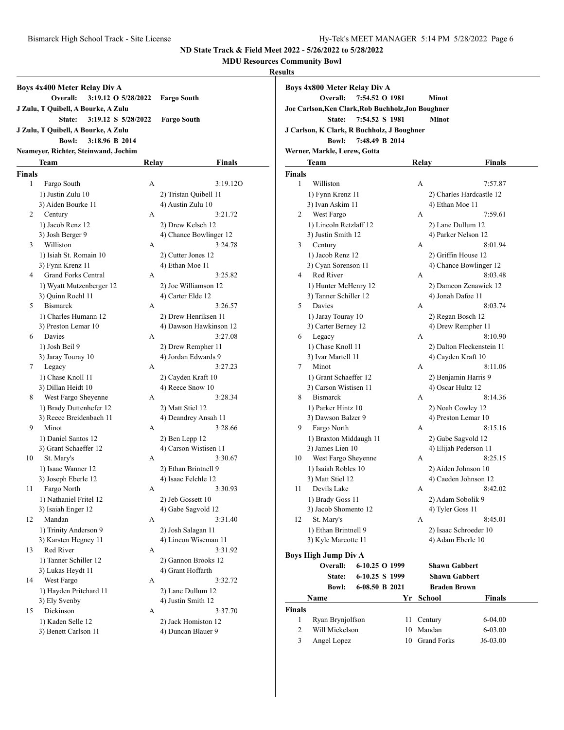**Overall: 7:54.52 O 1981 Minot**

**State: 7:54.52 S 1981 Minot**

**Joe Carlson,Ken Clark,Rob Buchholz,Jon Boughner**

**ND State Track & Field Meet 2022 - 5/26/2022 to 5/28/2022**

**MDU Resources Community Bowl**

**Results**

**Boys 4x800 Meter Relay Div A**

|               | Boys 4x400 Meter Relay Div A          |                     |   |                                         |
|---------------|---------------------------------------|---------------------|---|-----------------------------------------|
|               | Overall:                              | 3:19.12 O 5/28/2022 |   | <b>Fargo South</b>                      |
|               | J Zulu, T Quibell, A Bourke, A Zulu   |                     |   |                                         |
|               | State:                                | 3:19.12 S 5/28/2022 |   | <b>Fargo South</b>                      |
|               | J Zulu, T Quibell, A Bourke, A Zulu   |                     |   |                                         |
|               | <b>Bowl:</b>                          | 3:18.96 B 2014      |   |                                         |
|               | Neameyer, Richter, Steinwand, Jochim  |                     |   |                                         |
|               | Team                                  | Relay               |   | <b>Finals</b>                           |
| <b>Finals</b> |                                       |                     |   |                                         |
| 1             | Fargo South                           | A                   |   | 3:19.12O                                |
|               | 1) Justin Zulu 10                     |                     |   | 2) Tristan Quibell 11                   |
|               | 3) Aiden Bourke 11                    |                     |   | 4) Austin Zulu 10                       |
| 2             | Century                               | A                   |   | 3:21.72                                 |
|               | 1) Jacob Renz 12                      |                     |   | 2) Drew Kelsch 12                       |
|               | 3) Josh Berger 9                      |                     |   | 4) Chance Bowlinger 12                  |
| 3             | Williston                             |                     | A | 3:24.78                                 |
|               | 1) Isiah St. Romain 10                |                     |   | 2) Cutter Jones 12                      |
|               | 3) Fynn Krenz 11                      |                     |   | 4) Ethan Moe 11                         |
| 4             | <b>Grand Forks Central</b>            | A                   |   | 3:25.82                                 |
|               | 1) Wyatt Mutzenberger 12              |                     |   | 2) Joe Williamson 12                    |
|               | 3) Quinn Roehl 11                     |                     |   | 4) Carter Elde 12                       |
| 5             | <b>Bismarck</b>                       | A                   |   | 3:26.57                                 |
|               | 1) Charles Humann 12                  |                     |   | 2) Drew Henriksen 11                    |
|               | 3) Preston Lemar 10                   |                     |   | 4) Dawson Hawkinson 12                  |
| 6             | Davies                                | A                   |   | 3:27.08                                 |
|               | 1) Josh Beil 9                        |                     |   | 2) Drew Rempher 11                      |
|               | 3) Jaray Touray 10                    |                     |   | 4) Jordan Edwards 9                     |
| 7             | Legacy                                | A                   |   | 3:27.23                                 |
|               | 1) Chase Knoll 11                     |                     |   | 2) Cayden Kraft 10                      |
|               | 3) Dillan Heidt 10                    |                     |   | 4) Reece Snow 10                        |
| 8             | West Fargo Sheyenne                   |                     | А | 3:28.34                                 |
|               | 1) Brady Duttenhefer 12               |                     |   | 2) Matt Stiel 12                        |
|               | 3) Reece Breidenbach 11               |                     |   | 4) Deandrey Ansah 11                    |
| 9             | Minot                                 |                     | А | 3:28.66                                 |
|               | 1) Daniel Santos 12                   |                     |   | 2) Ben Lepp 12                          |
|               | 3) Grant Schaeffer 12                 |                     |   | 4) Carson Wistisen 11                   |
| 10            | St. Mary's                            | A                   |   | 3:30.67                                 |
|               | 1) Isaac Wanner 12                    |                     |   | 2) Ethan Brintnell 9                    |
|               | 3) Joseph Eberle 12                   |                     |   | 4) Isaac Felchle 12                     |
| 11            | Fargo North<br>1) Nathaniel Fritel 12 | A                   |   | 3:30.93                                 |
|               | 3) Isaiah Enger 12                    |                     |   | 2) Jeb Gossett 10<br>4) Gabe Sagvold 12 |
| 12            | Mandan                                | A                   |   | 3:31.40                                 |
|               | 1) Trinity Anderson 9                 |                     |   | 2) Josh Salagan 11                      |
|               | 3) Karsten Hegney 11                  |                     |   | 4) Lincon Wiseman 11                    |
| 13            | Red River                             | А                   |   | 3:31.92                                 |
|               | 1) Tanner Schiller 12                 |                     |   | 2) Gannon Brooks 12                     |
|               | 3) Lukas Heydt 11                     |                     |   | 4) Grant Hoffarth                       |
| 14            | West Fargo                            | А                   |   | 3:32.72                                 |
|               | 1) Hayden Pritchard 11                |                     |   | 2) Lane Dullum 12                       |
|               | 3) Ely Svenby                         |                     |   | 4) Justin Smith 12                      |
| 15            | Dickinson                             | А                   |   | 3:37.70                                 |
|               | 1) Kaden Selle 12                     |                     |   | 2) Jack Homiston 12                     |
|               | 3) Benett Carlson 11                  |                     |   | 4) Duncan Blauer 9                      |
|               |                                       |                     |   |                                         |

|               | J Carlson, K Clark, R Buchholz, J Boughner |                |    |       |                                         |                           |
|---------------|--------------------------------------------|----------------|----|-------|-----------------------------------------|---------------------------|
|               | <b>Bowl:</b>                               | 7:48.49 B 2014 |    |       |                                         |                           |
|               | Werner, Markle, Lerew, Gotta               |                |    |       |                                         |                           |
|               | Team                                       |                |    | Relay |                                         | <b>Finals</b>             |
| Finals        |                                            |                |    |       |                                         |                           |
| 1             | Williston                                  |                |    | А     |                                         | 7:57.87                   |
|               | 1) Fynn Krenz 11                           |                |    |       | 2) Charles Hardcastle 12                |                           |
|               | 3) Ivan Askim 11                           |                |    |       | 4) Ethan Moe 11                         |                           |
| 2             | West Fargo                                 |                |    | А     |                                         | 7:59.61                   |
|               | 1) Lincoln Retzlaff 12                     |                |    |       | 2) Lane Dullum 12                       |                           |
|               | 3) Justin Smith 12                         |                |    |       | 4) Parker Nelson 12                     |                           |
| 3             | Century                                    |                |    | А     |                                         | 8:01.94                   |
|               | 1) Jacob Renz 12                           |                |    |       | 2) Griffin House 12                     |                           |
|               | 3) Cyan Sorenson 11                        |                |    |       | 4) Chance Bowlinger 12                  |                           |
| 4             | Red River                                  |                |    | А     |                                         | 8:03.48                   |
|               | 1) Hunter McHenry 12                       |                |    |       | 2) Dameon Zenawick 12                   |                           |
|               | 3) Tanner Schiller 12                      |                |    |       | 4) Jonah Dafoe 11                       |                           |
| 5             | <b>Davies</b>                              |                |    | А     |                                         | 8:03.74                   |
|               |                                            |                |    |       |                                         |                           |
|               | 1) Jaray Touray 10                         |                |    |       | 2) Regan Bosch 12<br>4) Drew Rempher 11 |                           |
|               | 3) Carter Berney 12<br>Legacy              |                |    | А     |                                         | 8:10.90                   |
| 6             |                                            |                |    |       |                                         |                           |
|               | 1) Chase Knoll 11                          |                |    |       |                                         | 2) Dalton Fleckenstein 11 |
|               | 3) Ivar Martell 11<br>Minot                |                |    |       | 4) Cayden Kraft 10                      | 8:11.06                   |
| 7             |                                            |                |    | A     |                                         |                           |
|               | 1) Grant Schaeffer 12                      |                |    |       | 2) Benjamin Harris 9                    |                           |
|               | 3) Carson Wistisen 11                      |                |    |       | 4) Oscar Hultz 12                       |                           |
| 8             | <b>Bismarck</b>                            |                |    | A     |                                         | 8:14.36                   |
|               | 1) Parker Hintz 10                         |                |    |       | 2) Noah Cowley 12                       |                           |
|               | 3) Dawson Balzer 9                         |                |    |       | 4) Preston Lemar 10                     |                           |
| 9.            | Fargo North                                |                |    | A     |                                         | 8:15.16                   |
|               | 1) Braxton Middaugh 11                     |                |    |       | 2) Gabe Sagvold 12                      |                           |
|               | 3) James Lien 10                           |                |    |       | 4) Elijah Pederson 11                   |                           |
| 10            | West Fargo Sheyenne                        |                |    | А     |                                         | 8:25.15                   |
|               | 1) Isaiah Robles 10                        |                |    |       | 2) Aiden Johnson 10                     |                           |
|               | 3) Matt Stiel 12                           |                |    |       | 4) Caeden Johnson 12                    |                           |
| 11            | Devils Lake                                |                |    | А     |                                         | 8:42.02                   |
|               | 1) Brady Goss 11                           |                |    |       | 2) Adam Sobolik 9                       |                           |
|               | 3) Jacob Shomento 12                       |                |    |       | 4) Tyler Goss 11                        |                           |
| 12            | St. Mary's                                 |                |    | А     |                                         | 8:45.01                   |
|               | 1) Ethan Brintnell 9                       |                |    |       | 2) Isaac Schroeder 10                   |                           |
|               | 3) Kyle Marcotte 11                        |                |    |       | 4) Adam Eberle 10                       |                           |
|               | <b>Boys High Jump Div A</b>                |                |    |       |                                         |                           |
|               | Overall:                                   | 6-10.25 O 1999 |    |       | <b>Shawn Gabbert</b>                    |                           |
|               | State:                                     | 6-10.25 S 1999 |    |       | <b>Shawn Gabbert</b>                    |                           |
|               | <b>Bowl:</b>                               | 6-08.50 B 2021 |    |       | <b>Braden Brown</b>                     |                           |
|               | Name                                       |                | Yr |       | School                                  | <b>Finals</b>             |
|               |                                            |                |    |       |                                         |                           |
| <b>Finals</b> |                                            |                |    |       |                                         |                           |
| 1             | Ryan Brynjolfson                           |                | 11 |       | Century                                 | 6-04.00                   |
| 2             | Will Mickelson                             |                | 10 |       | Mandan                                  | 6-03.00                   |
| 3             | Angel Lopez                                |                |    |       | 10 Grand Forks                          | $J6-03.00$                |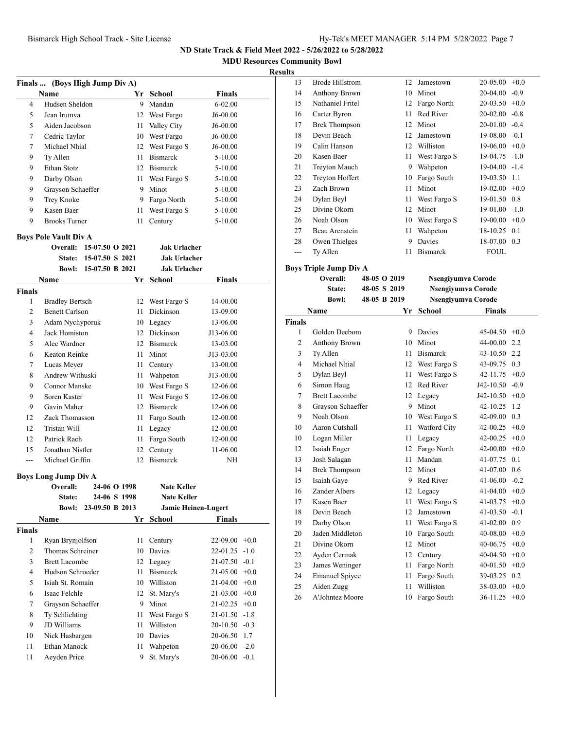**MDU Resources Community Bowl**

## **Results**

|   | <b>Name</b>          | Yr | School          | <b>Finals</b> |
|---|----------------------|----|-----------------|---------------|
| 4 | Hudsen Sheldon       | 9  | Mandan          | $6 - 02.00$   |
| 5 | Jean Irumva          | 12 | West Fargo      | $J6-00.00$    |
| 5 | Aiden Jacobson       | 11 | Valley City     | $J6-00.00$    |
| 7 | Cedric Taylor        | 10 | West Fargo      | $J6-00.00$    |
| 7 | Michael Nhial        | 12 | West Fargo S    | $J6-00.00$    |
| 9 | Ty Allen             | 11 | <b>Bismarck</b> | $5 - 10.00$   |
| 9 | Ethan Stotz          | 12 | <b>Bismarck</b> | $5 - 10.00$   |
| 9 | Darby Olson          | 11 | West Fargo S    | $5 - 10.00$   |
| 9 | Grayson Schaeffer    | 9  | Minot           | $5 - 10.00$   |
| 9 | Trey Knoke           | 9  | Fargo North     | $5 - 10.00$   |
| 9 | Kasen Baer           | 11 | West Fargo S    | $5 - 10.00$   |
| 9 | <b>Brooks Turner</b> | 11 | Century         | $5 - 10.00$   |

|                | 15-07.50 S 2021<br>State:       |    | <b>Jak Urlacher</b> |           |
|----------------|---------------------------------|----|---------------------|-----------|
|                | 15-07.50 B 2021<br><b>Bowl:</b> |    | <b>Jak Urlacher</b> |           |
|                | Name                            | Yr | School              | Finals    |
| <b>Finals</b>  |                                 |    |                     |           |
| 1              | <b>Bradley Bertsch</b>          | 12 | West Fargo S        | 14-00.00  |
| $\overline{2}$ | <b>Benett Carlson</b>           | 11 | Dickinson           | 13-09.00  |
| 3              | Adam Nychyporuk                 | 10 | Legacy              | 13-06.00  |
| 4              | Jack Homiston                   | 12 | <b>Dickinson</b>    | J13-06.00 |
| 5              | Alec Wardner                    | 12 | <b>Bismarck</b>     | 13-03.00  |
| 6              | Keaton Reinke                   | 11 | Minot               | J13-03.00 |
| 7              | Lucas Meyer                     | 11 | Century             | 13-00.00  |
| 8              | Andrew Withuski                 | 11 | Wahpeton            | J13-00.00 |
| 9              | Connor Manske                   | 10 | West Fargo S        | 12-06.00  |
| 9              | Soren Kaster                    | 11 | West Fargo S        | 12-06.00  |
| 9              | Gavin Maher                     | 12 | <b>Bismarck</b>     | 12-06.00  |
| 12             | Zack Thomasson                  | 11 | Fargo South         | 12-00.00  |
| 12             | Tristan Will                    | 11 | Legacy              | 12-00.00  |
| 12             | Patrick Rach                    | 11 | Fargo South         | 12-00.00  |
| 15             | Jonathan Nistler                | 12 | Century             | 11-06.00  |
| ---            | Michael Griffin                 | 12 | <b>Bismarck</b>     | NΗ        |

**Boys Long Jump Div A**

|        | Overall:                        | 24-06 O 1998 | Nate Keller                |                    |
|--------|---------------------------------|--------------|----------------------------|--------------------|
|        | State:                          | 24-06 S 1998 | <b>Nate Keller</b>         |                    |
|        | 23-09.50 B 2013<br><b>Bowl:</b> |              | <b>Jamie Heinen-Lugert</b> |                    |
|        | <b>Name</b>                     | Yr           | School                     | Finals             |
| Finals |                                 |              |                            |                    |
| 1      | Ryan Brynjolfson                | 11           | Century                    | $22-09.00 +0.0$    |
| 2      | Thomas Schreiner                | 10           | Davies                     | $22 - 01.25 - 1.0$ |
| 3      | <b>Brett Lacombe</b>            |              | 12 Legacy                  | $21-07.50 -0.1$    |
| 4      | Hudson Schroeder                | 11           | <b>Bismarck</b>            | $21-05.00 +0.0$    |
| 5      | Isiah St. Romain                | 10           | Williston                  | $21-04.00 +0.0$    |
| 6      | Isaac Felchle                   | 12           | St. Mary's                 | $21-03.00 +0.0$    |
| 7      | Grayson Schaeffer               | 9            | Minot                      | $21-02.25 +0.0$    |
| 8      | Ty Schlichting                  | 11           | West Fargo S               | $21-01.50 -1.8$    |
| 9      | JD Williams                     | 11           | Williston                  | $20-10.50 -0.3$    |
| 10     | Nick Hasbargen                  | 10           | Davies                     | 20-06.50 1.7       |
| 11     | Ethan Manock                    | 11           | Wahpeton                   | $20-06.00 -2.0$    |
| 11     | Aeyden Price                    | 9            | St. Mary's                 | $20-06.00 -0.1$    |

| ້   |                        |    |                 |                  |     |
|-----|------------------------|----|-----------------|------------------|-----|
| 13  | <b>Brode Hillstrom</b> | 12 | Jamestown       | $20-05.00 + 0.0$ |     |
| 14  | Anthony Brown          | 10 | Minot           | $20-04.00 -0.9$  |     |
| 15  | Nathaniel Fritel       | 12 | Fargo North     | $20-03.50 +0.0$  |     |
| 16  | Carter Byron           | 11 | Red River       | $20-02.00 -0.8$  |     |
| 17  | <b>Brek Thompson</b>   | 12 | Minot           | $20-01.00 -0.4$  |     |
| 18  | Devin Beach            | 12 | Jamestown       | $19-08.00 -0.1$  |     |
| 19  | Calin Hanson           | 12 | Williston       | $19-06.00 + 0.0$ |     |
| 20  | Kasen Baer             | 11 | West Fargo S    | $19-04.75 -1.0$  |     |
| 21  | <b>Treyton Mauch</b>   | 9  | Wahpeton        | $19-04.00 -1.4$  |     |
| 22  | Treyton Hoffert        | 10 | Fargo South     | 19-03.50 1.1     |     |
| 23  | Zach Brown             | 11 | Minot           | $19-02.00 +0.0$  |     |
| 24  | Dylan Beyl             | 11 | West Fargo S    | 19-01.50 0.8     |     |
| 25  | Divine Okorn           | 12 | Minot           | $19-01.00 -1.0$  |     |
| 26  | Noah Olson             | 10 | West Fargo S    | $19-00.00 + 0.0$ |     |
| 27  | Beau Arenstein         | 11 | Wahpeton        | 18-10.25         | 0.1 |
| 28  | Owen Thielges          | 9  | Davies          | 18-07.00 0.3     |     |
| --- | Ty Allen               | 11 | <b>Bismarck</b> | <b>FOUL</b>      |     |
|     |                        |    |                 |                  |     |

## **Boys Triple Jump Div A**

|                | Overall:              | 48-05 O 2019 |                 | Nsengiyumva Corode |               |
|----------------|-----------------------|--------------|-----------------|--------------------|---------------|
|                | State:                | 48-05 S 2019 |                 | Nsengiyumva Corode |               |
|                | <b>Bowl:</b>          | 48-05 B 2019 |                 | Nsengiyumva Corode |               |
|                | Name                  | Yr           | <b>School</b>   | Finals             |               |
| <b>Finals</b>  |                       |              |                 |                    |               |
| 1              | Golden Deebom         | 9            | Davies          | $45-04.50 +0.0$    |               |
| $\overline{c}$ | Anthony Brown         | 10           | Minot           | 44-00.00           | 2.2           |
| 3              | Ty Allen              | 11           | <b>Bismarck</b> | $43 - 10.50$       | 2.2           |
| $\overline{4}$ | Michael Nhial         | 12           | West Fargo S    | 43-09.75           | 0.3           |
| 5              | Dylan Beyl            | 11           | West Fargo S    | $42 - 11.75 + 0.0$ |               |
| 6              | Simon Haug            | 12           | Red River       | J42-10.50          | $-0.9$        |
| 7              | <b>Brett Lacombe</b>  | 12           | Legacy          | $J42-10.50$ +0.0   |               |
| 8              | Grayson Schaeffer     | 9            | Minot           | 42-10.25           | 1.2           |
| 9              | Noah Olson            | 10           | West Fargo S    | 42-09.00           | 0.3           |
| 10             | Aaron Cutshall        | 11           | Watford City    | 42-00.25           | $+0.0$        |
| 10             | Logan Miller          | 11           | Legacy          | 42-00.25           | $+0.0$        |
| 12             | Isaiah Enger          | 12           | Fargo North     | $42-00.00 + 0.0$   |               |
| 13             | Josh Salagan          | 11           | Mandan          | 41-07.75           | 0.1           |
| 14             | <b>Brek Thompson</b>  | 12           | Minot           | $41 - 07.00$       | $0.6^{\circ}$ |
| 15             | Isaiah Gaye           | 9            | Red River       | 41-06.00           | $-0.2$        |
| 16             | Zander Albers         | 12           | Legacy          | 41-04.00           | $+0.0$        |
| 17             | Kasen Baer            | 11           | West Fargo S    | 41-03.75           | $+0.0$        |
| 18             | Devin Beach           | 12           | Jamestown       | 41-03.50           | $-0.1$        |
| 19             | Darby Olson           | 11           | West Fargo S    | 41-02.00           | 0.9           |
| 20             | Jaden Middleton       | 10           | Fargo South     | 40-08.00           | $+0.0$        |
| 21             | Divine Okorn          | 12           | Minot           | 40-06.75           | $+0.0$        |
| 22             | Ayden Cermak          | 12           | Century         | $40-04.50 + 0.0$   |               |
| 23             | James Weninger        | 11           | Fargo North     | 40-01.50           | $+0.0$        |
| 24             | <b>Emanuel Spiyee</b> | 11           | Fargo South     | 39-03.25           | 0.2           |
| 25             | Aiden Zugg            | 11           | Williston       | 38-03.00           | $+0.0$        |
| 26             | A'Johntez Moore       | 10           | Fargo South     | 36-11.25           | $+0.0$        |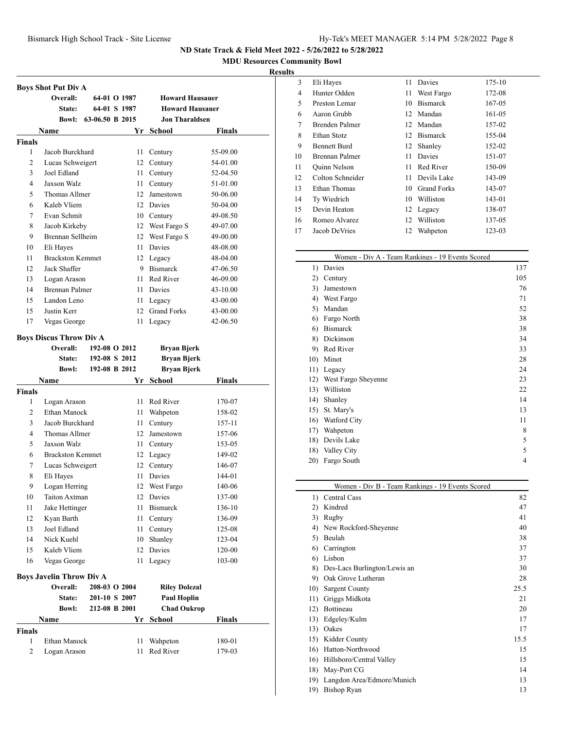**MDU Resources Community Bowl**

## **Results**

|                                | <b>Boys Shot Put Div A</b>      |                 |  |                 |                        |               |
|--------------------------------|---------------------------------|-----------------|--|-----------------|------------------------|---------------|
|                                | Overall:                        | 64-01 O 1987    |  |                 | <b>Howard Hausauer</b> |               |
|                                | State:                          | 64-01 S 1987    |  |                 | <b>Howard Hausauer</b> |               |
|                                | <b>Bowl:</b>                    | 63-06.50 B 2015 |  |                 | <b>Jon Tharaldsen</b>  |               |
|                                | Name                            |                 |  |                 | Yr School              | Finals        |
| <b>Finals</b>                  |                                 |                 |  |                 |                        |               |
| 1                              | Jacob Burckhard                 |                 |  | 11              | Century                | 55-09.00      |
| $\overline{2}$                 | Lucas Schweigert                |                 |  | 12              | Century                | 54-01.00      |
| 3                              | Joel Edland                     |                 |  | 11              | Century                | 52-04.50      |
| $\overline{4}$                 | Jaxson Walz                     |                 |  | 11 -            | Century                | 51-01.00      |
| 5                              | Thomas Allmer                   |                 |  | 12 <sup>2</sup> | Jamestown              | 50-06.00      |
| 6                              | Kaleb Vliem                     |                 |  |                 | 12 Davies              | 50-04.00      |
| 7                              | Evan Schmit                     |                 |  |                 | 10 Century             | 49-08.50      |
| 8                              | Jacob Kirkeby                   |                 |  |                 | 12 West Fargo S        | 49-07.00      |
| 9                              | Brennan Sellheim                |                 |  | 12              | West Fargo S           | 49-00.00      |
| 10                             | Eli Hayes                       |                 |  | 11              | Davies                 | 48-08.00      |
| 11                             | <b>Brackston Kemmet</b>         |                 |  |                 | 12 Legacy              | $48 - 04.00$  |
| 12                             | Jack Shaffer                    |                 |  |                 | 9 Bismarck             | 47-06.50      |
| 13                             | Logan Arason                    |                 |  |                 | 11 Red River           | 46-09.00      |
| 14                             | <b>Brennan Palmer</b>           |                 |  |                 | 11 Davies              | 43-10.00      |
| 15                             | Landon Leno                     |                 |  |                 | 11 Legacy              | 43-00.00      |
| 15                             | Justin Kerr                     |                 |  |                 | 12 Grand Forks         | 43-00.00      |
| 17                             | Vegas George                    |                 |  | 11              | Legacy                 | 42-06.50      |
| <b>Boys Discus Throw Div A</b> |                                 |                 |  |                 |                        |               |
|                                | Overall:                        | 192-08 O 2012   |  |                 | <b>Bryan Bjerk</b>     |               |
|                                | State:                          | 192-08 S 2012   |  |                 | <b>Bryan Bjerk</b>     |               |
|                                | <b>Bowl:</b>                    | 192-08 B 2012   |  |                 | <b>Bryan Bjerk</b>     |               |
|                                | <b>Name</b>                     |                 |  | Yr              | School                 | Finals        |
| <b>Finals</b>                  |                                 |                 |  |                 |                        |               |
| 1                              | Logan Arason                    |                 |  | 11              | Red River              | 170-07        |
| 2                              | <b>Ethan Manock</b>             |                 |  | 11              | Wahpeton               | 158-02        |
| 3                              | Jacob Burckhard                 |                 |  | 11 -            | Century                | 157-11        |
| $\overline{4}$                 | Thomas Allmer                   |                 |  | 12              | Jamestown              | 157-06        |
| 5                              | Jaxson Walz                     |                 |  | 11              | Century                | 153-05        |
| 6                              | <b>Brackston Kemmet</b>         |                 |  |                 | 12 Legacy              | 149-02        |
| 7                              | Lucas Schweigert                |                 |  |                 | 12 Century             | 146-07        |
| 8                              | Eli Hayes                       |                 |  | 11              | <b>Davies</b>          | 144-01        |
| 9                              | Logan Herring                   |                 |  | 12              | West Fargo             | 140-06        |
| 10                             | Taiton Axtman                   |                 |  |                 | 12 Davies              | 137-00        |
| 11                             | Jake Hettinger                  |                 |  | 11              | <b>Bismarck</b>        | 136-10        |
| 12                             | Kyan Barth                      |                 |  | 11              | Century                | 136-09        |
| 13                             | Joel Edland                     |                 |  | 11              | Century                | 125-08        |
| 14                             | Nick Kuehl                      |                 |  |                 | 10 Shanley             | 123-04        |
| 15                             | Kaleb Vliem                     |                 |  |                 | 12 Davies              | 120-00        |
| 16                             | Vegas George                    |                 |  | 11              | Legacy                 | 103-00        |
|                                | <b>Boys Javelin Throw Div A</b> |                 |  |                 |                        |               |
|                                | Overall:                        | 208-03 O 2004   |  |                 | <b>Riley Dolezal</b>   |               |
|                                | State:                          | 201-10 S 2007   |  |                 | <b>Paul Hoplin</b>     |               |
|                                | <b>Bowl:</b>                    | 212-08 B 2001   |  |                 | <b>Chad Oukrop</b>     |               |
|                                | Name                            |                 |  |                 | Yr School              | <b>Finals</b> |
|                                |                                 |                 |  |                 |                        |               |
| <b>Finals</b>                  |                                 |                 |  |                 |                        |               |
| 1                              | Ethan Manock                    |                 |  | 11              | Wahpeton               | 180-01        |
| $\overline{c}$                 | Logan Arason                    |                 |  | 11              | Red River              | 179-03        |

| s  |                       |    |                    |        |
|----|-----------------------|----|--------------------|--------|
| 3  | Eli Hayes             | 11 | Davies             | 175-10 |
| 4  | Hunter Odden          | 11 | West Fargo         | 172-08 |
| 5  | Preston Lemar         | 10 | <b>Bismarck</b>    | 167-05 |
| 6  | Aaron Grubb           |    | 12 Mandan          | 161-05 |
| 7  | Brenden Palmer        |    | 12 Mandan          | 157-02 |
| 8  | Ethan Stotz           | 12 | <b>Bismarck</b>    | 155-04 |
| 9  | <b>Bennett Burd</b>   |    | 12 Shanley         | 152-02 |
| 10 | <b>Brennan Palmer</b> | 11 | Davies             | 151-07 |
| 11 | Quinn Nelson          | 11 | Red River          | 150-09 |
| 12 | Colton Schneider      | 11 | Devils Lake        | 143-09 |
| 13 | Ethan Thomas          | 10 | <b>Grand Forks</b> | 143-07 |
| 14 | Ty Wiedrich           | 10 | Williston          | 143-01 |
| 15 | Devin Heaton          |    | 12 Legacy          | 138-07 |
| 16 | Romeo Alvarez         | 12 | Williston          | 137-05 |
| 17 | Jacob DeVries         | 12 | Wahpeton           | 123-03 |
|    |                       |    |                    |        |

|     | Women - Div A - Team Rankings - 19 Events Scored |     |
|-----|--------------------------------------------------|-----|
| 1)  | Davies                                           | 137 |
| 2)  | Century                                          | 105 |
| 3)  | Jamestown                                        | 76  |
| 4)  | West Fargo                                       | 71  |
| 5)  | Mandan                                           | 52  |
| 6)  | Fargo North                                      | 38  |
| 6)  | <b>Bismarck</b>                                  | 38  |
| 8)  | Dickinson                                        | 34  |
| 9)  | Red River                                        | 33  |
| 10) | Minot                                            | 28  |
| 11) | Legacy                                           | 24  |
| 12) | West Fargo Sheyenne                              | 23  |
| 13) | Williston                                        | 22  |
| 14) | Shanley                                          | 14  |
| 15) | St. Mary's                                       | 13  |
| 16) | Watford City                                     | 11  |
| 17) | Wahpeton                                         | 8   |
| 18) | Devils Lake                                      | 5   |
| 18) | Valley City                                      | 5   |
| 20) | Fargo South                                      | 4   |

| Women - Div B - Team Rankings - 19 Events Scored |                              |      |  |  |
|--------------------------------------------------|------------------------------|------|--|--|
|                                                  | 1) Central Cass              | 82   |  |  |
| 2)                                               | Kindred                      | 47   |  |  |
| 3)                                               | Rugby                        | 41   |  |  |
| 4)                                               | New Rockford-Sheyenne        | 40   |  |  |
| 5)                                               | Beulah                       | 38   |  |  |
| 6)                                               | Carrington                   | 37   |  |  |
| 6)                                               | Lisbon                       | 37   |  |  |
| 8)                                               | Des-Lacs Burlington/Lewis an | 30   |  |  |
| 9)                                               | Oak Grove Lutheran           | 28   |  |  |
| 10)                                              | <b>Sargent County</b>        | 25.5 |  |  |
| 11)                                              | Griggs Midkota               | 21   |  |  |
| 12)                                              | Bottineau                    | 20   |  |  |
| 13)                                              | Edgeley/Kulm                 | 17   |  |  |
| 13)                                              | Oakes                        | 17   |  |  |
| 15)                                              | Kidder County                | 15.5 |  |  |
| 16)                                              | Hatton-Northwood             | 15   |  |  |
| 16)                                              | Hillsboro/Central Valley     | 15   |  |  |
| 18)                                              | May-Port CG                  | 14   |  |  |
| 19)                                              | Langdon Area/Edmore/Munich   | 13   |  |  |
| 19)                                              | Bishop Ryan                  | 13   |  |  |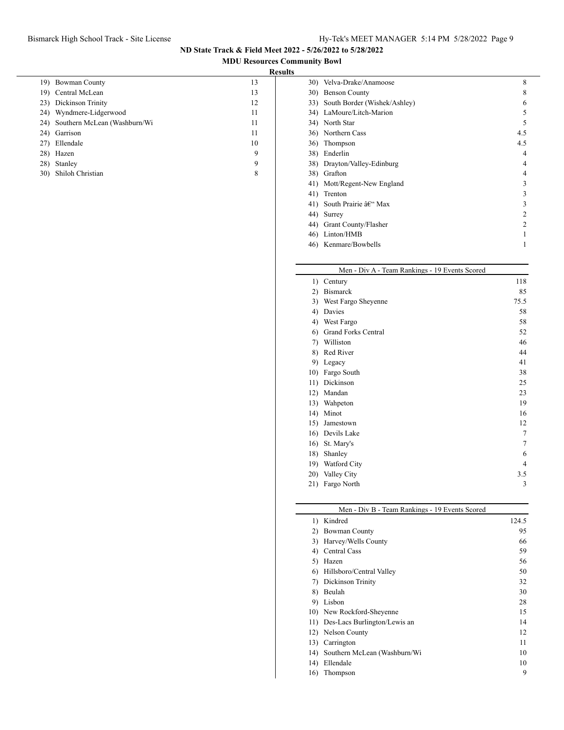## Bismarck High School Track - Site License Hy-Tek's MEET MANAGER 5:14 PM 5/28/2022 Page 9

**ND State Track & Field Meet 2022 - 5/26/2022 to 5/28/2022**

**MDU Resources Community Bowl**

## **Results**

| 19) | <b>Bowman County</b>         | 13 |
|-----|------------------------------|----|
| 19) | Central McLean               | 13 |
| 23) | Dickinson Trinity            | 12 |
| 24) | Wyndmere-Lidgerwood          | 11 |
| 24) | Southern McLean (Washburn/Wi | 11 |
| 24) | Garrison                     | 11 |
| 27) | Ellendale                    | 10 |
| 28) | Hazen                        | 9  |
| 28) | Stanley                      | 9  |
| 30) | Shiloh Christian             | 8  |

|      | 30) Velva-Drake/Anamoose         | 8              |  |
|------|----------------------------------|----------------|--|
| 30)  | <b>Benson County</b>             | 8              |  |
|      | 33) South Border (Wishek/Ashley) | 6              |  |
| 34). | LaMoure/Litch-Marion             | 5              |  |
|      | 34) North Star                   | 5              |  |
|      | 36) Northern Cass                | 4.5            |  |
| 36)  | Thompson                         | 4.5            |  |
| 38)  | Enderlin                         | 4              |  |
| 38)  | Drayton/Valley-Edinburg          | 4              |  |
| 38)  | Grafton                          | 4              |  |
| 41)  | Mott/Regent-New England          | 3              |  |
| 41)  | Trenton                          | 3              |  |
|      | 41) South Prairie – Max          | 3              |  |
| 44)  | Surrey                           | 2              |  |
| 44)  | Grant County/Flasher             | $\mathfrak{D}$ |  |
| 46)  | Linton/HMB                       |                |  |
| 46)  | Kenmare/Bowbells                 |                |  |
|      |                                  |                |  |

## Men - Div A - Team Rankings - 19 Events Scored

| 1)  | Century                    | 118            |
|-----|----------------------------|----------------|
| 2)  | <b>Bismarck</b>            | 85             |
| 3)  | West Fargo Sheyenne        | 75.5           |
| 4)  | Davies                     | 58             |
| 4)  | West Fargo                 | 58             |
| 6)  | <b>Grand Forks Central</b> | 52             |
| 7)  | Williston                  | 46             |
| 8)  | Red River                  | 44             |
| 9)  | Legacy                     | 41             |
| 10) | Fargo South                | 38             |
| 11) | Dickinson                  | 25             |
| 12) | Mandan                     | 23             |
| 13) | Wahpeton                   | 19             |
| 14) | Minot                      | 16             |
| 15) | Jamestown                  | 12             |
| 16) | Devils Lake                | $\overline{7}$ |
| 16) | St. Mary's                 | 7              |
| 18) | Shanley                    | 6              |
| 19) | Watford City               | 4              |
| 20) | Valley City                | 3.5            |
| 21) | Fargo North                | 3              |
|     |                            |                |

## Men - Div B - Team Rankings - 19 Events Scored

| Men - DIV B - Team Rankings - 19 Events Scored |                                  |       |  |  |
|------------------------------------------------|----------------------------------|-------|--|--|
| 1)                                             | Kindred                          | 124.5 |  |  |
| 2)                                             | Bowman County                    | 95    |  |  |
| 3)                                             | Harvey/Wells County              | 66    |  |  |
| 4)                                             | Central Cass                     | 59    |  |  |
| 5)                                             | Hazen                            | 56    |  |  |
| 6)                                             | Hillsboro/Central Valley         | 50    |  |  |
| 7)                                             | Dickinson Trinity                | 32    |  |  |
| 8)                                             | Beulah                           | 30    |  |  |
| 9)                                             | Lisbon                           | 28    |  |  |
|                                                | 10) New Rockford-Sheyenne        | 15    |  |  |
|                                                | 11) Des-Lacs Burlington/Lewis an | 14    |  |  |
| 12)                                            | Nelson County                    | 12    |  |  |
| 13)                                            | Carrington                       | 11    |  |  |
| 14)                                            | Southern McLean (Washburn/Wi     | 10    |  |  |
| 14)                                            | Ellendale                        | 10    |  |  |
| 16)                                            | Thompson                         | 9     |  |  |